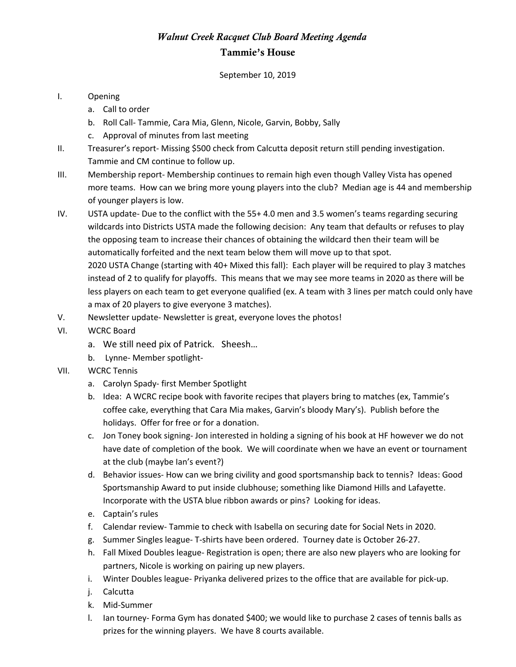## *Walnut Creek Racquet Club Board Meeting Agenda* Tammie's House

September 10, 2019

## I. Opening

- a. Call to order
- b. Roll Call- Tammie, Cara Mia, Glenn, Nicole, Garvin, Bobby, Sally
- c. Approval of minutes from last meeting
- II. Treasurer's report- Missing \$500 check from Calcutta deposit return still pending investigation. Tammie and CM continue to follow up.
- III. Membership report- Membership continues to remain high even though Valley Vista has opened more teams. How can we bring more young players into the club? Median age is 44 and membership of younger players is low.
- IV. USTA update- Due to the conflict with the 55+ 4.0 men and 3.5 women's teams regarding securing wildcards into Districts USTA made the following decision: Any team that defaults or refuses to play the opposing team to increase their chances of obtaining the wildcard then their team will be automatically forfeited and the next team below them will move up to that spot. 2020 USTA Change (starting with 40+ Mixed this fall): Each player will be required to play 3 matches instead of 2 to qualify for playoffs. This means that we may see more teams in 2020 as there will be less players on each team to get everyone qualified (ex. A team with 3 lines per match could only have a max of 20 players to give everyone 3 matches).
- V. Newsletter update- Newsletter is great, everyone loves the photos!
- VI. WCRC Board
	- a. We still need pix of Patrick. Sheesh…
	- b. Lynne- Member spotlight-
- VII. WCRC Tennis
	- a. Carolyn Spady- first Member Spotlight
	- b. Idea: A WCRC recipe book with favorite recipes that players bring to matches (ex, Tammie's coffee cake, everything that Cara Mia makes, Garvin's bloody Mary's). Publish before the holidays. Offer for free or for a donation.
	- c. Jon Toney book signing- Jon interested in holding a signing of his book at HF however we do not have date of completion of the book. We will coordinate when we have an event or tournament at the club (maybe Ian's event?)
	- d. Behavior issues- How can we bring civility and good sportsmanship back to tennis? Ideas: Good Sportsmanship Award to put inside clubhouse; something like Diamond Hills and Lafayette. Incorporate with the USTA blue ribbon awards or pins? Looking for ideas.
	- e. Captain's rules
	- f. Calendar review- Tammie to check with Isabella on securing date for Social Nets in 2020.
	- g. Summer Singles league- T-shirts have been ordered. Tourney date is October 26-27.
	- h. Fall Mixed Doubles league- Registration is open; there are also new players who are looking for partners, Nicole is working on pairing up new players.
	- i. Winter Doubles league- Priyanka delivered prizes to the office that are available for pick-up.
	- j. Calcutta
	- k. Mid-Summer
	- l. Ian tourney- Forma Gym has donated \$400; we would like to purchase 2 cases of tennis balls as prizes for the winning players. We have 8 courts available.